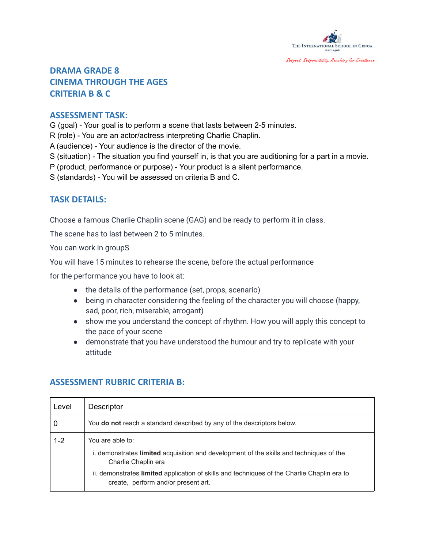

# **DRAMA GRADE 8 CINEMA THROUGH THE AGES CRITERIA B & C**

#### **ASSESSMENT TASK:**

G (goal) - Your goal is to perform a scene that lasts between 2-5 minutes.

R (role) - You are an actor/actress interpreting Charlie Chaplin.

A (audience) - Your audience is the director of the movie.

- S (situation) The situation you find yourself in, is that you are auditioning for a part in a movie.
- P (product, performance or purpose) Your product is a silent performance.
- S (standards) You will be assessed on criteria B and C.

### **TASK DETAILS:**

Choose a famous Charlie Chaplin scene (GAG) and be ready to perform it in class.

The scene has to last between 2 to 5 minutes.

You can work in groupS

You will have 15 minutes to rehearse the scene, before the actual performance

for the performance you have to look at:

- the details of the performance (set, props, scenario)
- being in character considering the feeling of the character you will choose (happy, sad, poor, rich, miserable, arrogant)
- show me you understand the concept of rhythm. How you will apply this concept to the pace of your scene
- demonstrate that you have understood the humour and try to replicate with your attitude

| Level   | <b>Descriptor</b>                                                                                                                  |
|---------|------------------------------------------------------------------------------------------------------------------------------------|
| 0       | You do not reach a standard described by any of the descriptors below.                                                             |
| $1 - 2$ | You are able to:<br>i. demonstrates limited acquisition and development of the skills and techniques of the                        |
|         | Charlie Chaplin era                                                                                                                |
|         | ii. demonstrates limited application of skills and techniques of the Charlie Chaplin era to<br>create, perform and/or present art. |

## **ASSESSMENT RUBRIC CRITERIA B:**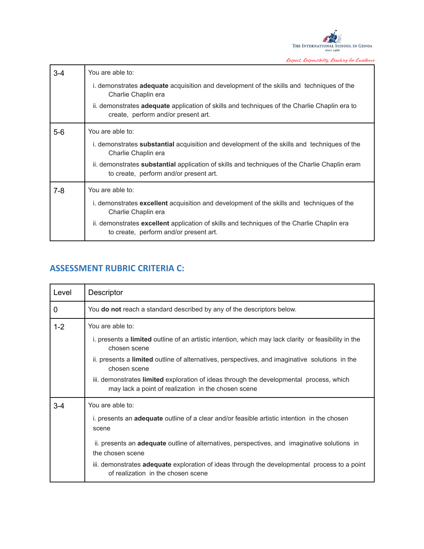

Respect, Responsibility, Reaching for Excellence

| $3 - 4$ | You are able to:                                                                                                                               |
|---------|------------------------------------------------------------------------------------------------------------------------------------------------|
|         | i. demonstrates <b>adequate</b> acquisition and development of the skills and techniques of the<br>Charlie Chaplin era                         |
|         | ii. demonstrates adequate application of skills and techniques of the Charlie Chaplin era to<br>create, perform and/or present art.            |
| $5-6$   | You are able to:                                                                                                                               |
|         | i. demonstrates <b>substantial</b> acquisition and development of the skills and techniques of the<br>Charlie Chaplin era                      |
|         | ii. demonstrates <b>substantial</b> application of skills and techniques of the Charlie Chaplin eram<br>to create, perform and/or present art. |
| $7-8$   | You are able to:                                                                                                                               |
|         | i. demonstrates excellent acquisition and development of the skills and techniques of the<br>Charlie Chaplin era                               |
|         | ii. demonstrates excellent application of skills and techniques of the Charlie Chaplin era<br>to create, perform and/or present art.           |

## **ASSESSMENT RUBRIC CRITERIA C:**

| Level       | Descriptor                                                                                                                                     |
|-------------|------------------------------------------------------------------------------------------------------------------------------------------------|
| $\mathbf 0$ | You do not reach a standard described by any of the descriptors below.                                                                         |
| $1 - 2$     | You are able to:                                                                                                                               |
|             | i. presents a limited outline of an artistic intention, which may lack clarity or feasibility in the<br>chosen scene                           |
|             | ii. presents a <b>limited</b> outline of alternatives, perspectives, and imaginative solutions in the<br>chosen scene                          |
|             | iii. demonstrates limited exploration of ideas through the developmental process, which<br>may lack a point of realization in the chosen scene |
| $3 - 4$     | You are able to:                                                                                                                               |
|             | i. presents an <b>adequate</b> outline of a clear and/or feasible artistic intention in the chosen<br>scene                                    |
|             | ii. presents an <b>adequate</b> outline of alternatives, perspectives, and imaginative solutions in<br>the chosen scene                        |
|             | iii. demonstrates <b>adequate</b> exploration of ideas through the developmental process to a point<br>of realization in the chosen scene      |